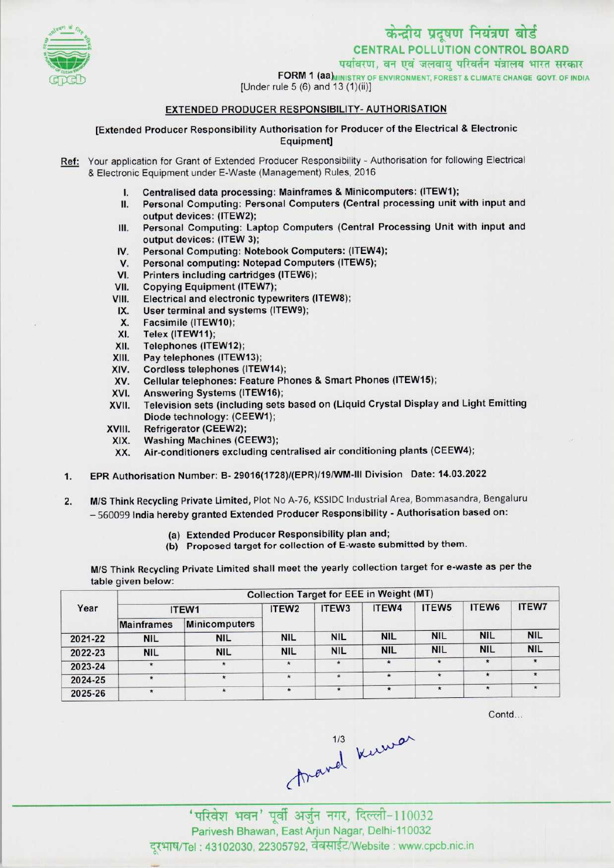

पर्यावरण, वन एवं जलवाय परिवर्तन मंत्रालय भारत सरकार



FORM 1 (aa) INISTRY OF ENVIRONMENT, FOREST & CLIMATE CHANGE GOVT. OF INDIA [Under rule 5 (6) and 13 (1)(ii)]

## EXTENDED PRODUCER RESPONSIBILITY- AUTHORISATION

[Extended Producer Responsibility Authorisation for Producer ofthe Electrical & Electronic Equipment]

- Ref: Your application for Grant of Extended Producer Responsibility Authorisation for following Electrical & Electronic Equipment under E-Waste (Management) Rules, 2016 onic Equipment under E-Waste (Management) Rules, 2016<br>I. Centralised data processing: Mainframes & Minicomputers: (ITEW1)<br>I. Research Computing: Personal Computers (Contral processing unit
	-
	- I. Centralised data processing: Mainframes & Minicomputers: (ITEW1);<br>II. Personal Computing: Personal Computers (Central processing unit with input and output devices: (1TEW2); II. Personal Computing: Personal Computers (Central processing unit with input and output devices: (ITEW2);<br>III. Personal Computing: Laptop Computers (Central Processing Unit with input and
	- output devices: (ITEW 3); III. Personal Computing: Laptop Computers (Central Picture<br>
	output devices: (ITEW 3);<br>
	IV. Personal Computing: Notebook Computers: (ITEW4);
	- output devices: (ITEW 3);<br>V. Personal Computing: Notebook Computers: (ITEW<br>V. Personal computing: Notepad Computers (ITEW5);
	- IV. Personal Computing: Notebook Computers: (ITEW4<br>V. Personal computing: Notepad Computers (ITEW5);<br>VI. Printers including cartridges (ITEW6);<br>VII. Copying Equipment (ITEW7);
	- VI. Printers including cartridges (ITEW6);<br>VII. Copying Equipment (ITEW7);<br>VIII. Electrical and electronic typewriters (I
	-
	- VIII. Electrical and electronic typewriters (ITEW8);<br>IX. User terminal and systems (ITEW9); TH. Copying Equipment (ITEW7);<br>III. Electrical and electronic typewriters<br>IX. User terminal and systems (ITEW9);<br>Y. Eassimile (ITEW10);
	-
	- ii. Electrical and electrical<br>X. User terminal and s<br>X. Facsimile (ITEW10);<br>X. Telex (ITEW11);
	-
	- X. Facsimile (ITEW10);<br>XI. Telex (ITEW11);<br>XII. Telephones (ITEW12
	- XII. Telephones (ITEW12);<br>XIII. Pay telephones (ITEW XIII. Pay telephones (ITEW13);<br>XIV. Cordless telephones (ITE)
	- XIV. Cordless telephones (ITEW14);<br>XV. Cellular telephones: Feature Ph
	- XIII. Pay telephones (ITEW13);<br>KIV. Cordless telephones (ITEW14);<br>XV. Cellular telephones: Feature Phones & Smart Phones (ITEW15); XIV. Cordiess telephones (ITEW14)<br>XV. Cellular telephones: Feature P<br>XVI. Television este (including ests)
	-
	- XVI. Answering Systems (ITEW16);<br>XVII. Television sets (including sets based on (Liquid Crystal Display and Light Emitting Diode technology: (CEEW1);
	-
	- XVIII. Refrigerator (CEEW2); XIX. Washing Machines (CEEW3);<br>XX. Air-conditioners excluding ce
		- Air-conditioners excluding centralised air conditioning plants (CEEW4);
- 1.EPR Authorisation Number: B- 29016(1728)/(EPR)/19/WM-lll Division Date: 14.03.2022
- 2. M/S Think Recycling Private Limited, Plot No A-76, KSSIDC Industrial Area, Bommasandra, Bengaluru - <sup>560099</sup> India hereby granted Extended Producer Responsibility - Authorisation based on:
	- (a) Extended Producer Responsibility plan and;
	- (b) Proposed target for collection of E-waste submitted by them.

M/S Think Recycling Private Limited shall meet the yearly collection target for e-waste as per the table given below:

| Year    | <b>Collection Target for EEE in Weight (MT)</b> |                      |                   |                   |               |            |            |              |  |  |
|---------|-------------------------------------------------|----------------------|-------------------|-------------------|---------------|------------|------------|--------------|--|--|
|         |                                                 | ITEW1                | ITEW <sub>2</sub> | ITEW <sub>3</sub> | ITEW4         | ITEW5      | ITEW6      | <b>ITEW7</b> |  |  |
|         | <b>Mainframes</b>                               | <b>Minicomputers</b> |                   |                   |               |            |            |              |  |  |
| 2021-22 | <b>NIL</b>                                      | <b>NIL</b>           | <b>NIL</b>        | <b>NIL</b>        | <b>NIL</b>    | <b>NIL</b> | <b>NIL</b> | <b>NIL</b>   |  |  |
| 2022-23 | <b>NIL</b>                                      | <b>NIL</b>           | <b>NIL</b>        | <b>NIL</b>        | <b>NIL</b>    | <b>NIL</b> | <b>NIL</b> | <b>NIL</b>   |  |  |
| 2023-24 | $\star$                                         | $\star$              | $\star$           |                   | $\star$       | $\star$    | $\star$    |              |  |  |
| 2024-25 | $\star$                                         |                      | $\star$           | $\star$           | $\star$       | $\star$    | $\star$    | $\star$      |  |  |
| 2025-26 | $\star$                                         | $\star$              | $\star$           | $\star$           | $\pmb{\star}$ | $\star$    | $\star$    | $\star$      |  |  |

Contd...

1/3<br>1/3 Kerward<br>"परिवेश भवन" पूर्वी अर्जुन नगर, दिल्ली-110032

Parivesh Bhawan, East Arjun Nagar, Delhi-110032 दरभाष/Tel : 43102030, 22305792, वेबसाईट/Website : www.cpcb.nic.in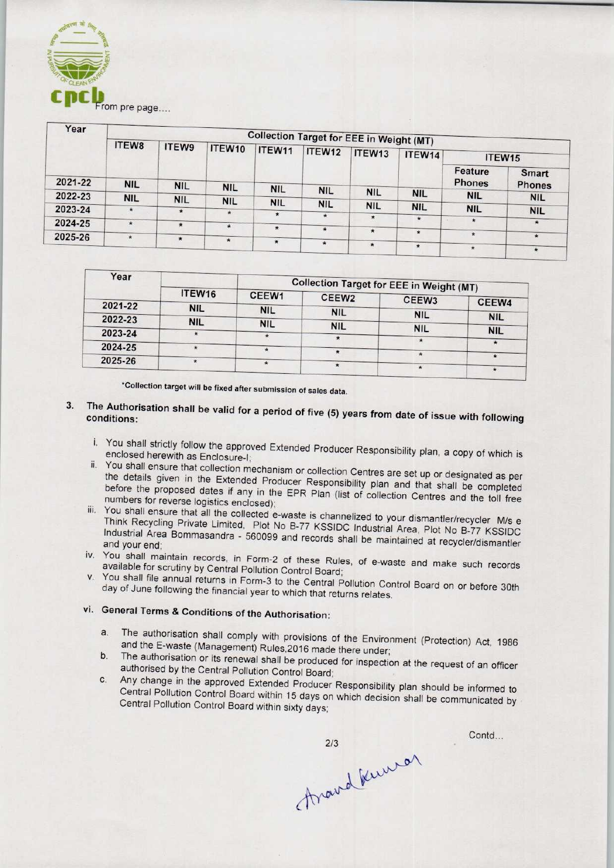

| Year    | <b>Collection Target for EEE in Weight (MT)</b> |            |            |            |            |            |            |                          |               |  |
|---------|-------------------------------------------------|------------|------------|------------|------------|------------|------------|--------------------------|---------------|--|
|         | ITEW8                                           | ITEW9      | ITEW10     | ITEW11     | ITEW12     | ITEW13     | ITEW14     | ITEW15                   |               |  |
| 2021-22 |                                                 |            |            |            |            |            |            | Feature<br><b>Phones</b> | Smart         |  |
|         | <b>NIL</b>                                      | <b>NIL</b> | <b>NIL</b> | <b>NIL</b> | <b>NIL</b> | <b>NIL</b> |            |                          | <b>Phones</b> |  |
| 2022-23 | <b>NIL</b>                                      | <b>NIL</b> | <b>NIL</b> | <b>NIL</b> |            |            | <b>NIL</b> | <b>NIL</b>               | <b>NIL</b>    |  |
| 2023-24 | $\star$                                         | $\star$    | $\star$    |            | <b>NIL</b> | <b>NIL</b> | <b>NIL</b> | <b>NIL</b>               | <b>NIL</b>    |  |
|         |                                                 |            |            | $\star$    | $\star$    | $\star$    | $\star$    | ۰                        |               |  |
| 2024-25 | $\star$                                         | $\star$    | $\star$    | $\star$    | $\star$    |            |            |                          | $\star$       |  |
| 2025-26 | $\star$                                         | $\star$    | $\star$    |            |            | $\star$    | $\star$    | $\star$                  | $\star$       |  |
|         |                                                 |            |            | $\star$    | $\star$    | $\star$    | $\star$    | $\star$                  | $\star$       |  |

| Year    |            | <b>Collection Target for EEE in Weight (MT)</b> |                   |            |            |  |  |
|---------|------------|-------------------------------------------------|-------------------|------------|------------|--|--|
|         | ITEW16     | CEEW1                                           | CEEW <sub>2</sub> | CEEW3      |            |  |  |
| 2021-22 | <b>NIL</b> | <b>NIL</b>                                      |                   |            | CEEW4      |  |  |
| 2022-23 | <b>NIL</b> |                                                 | <b>NIL</b>        | <b>NIL</b> | <b>NIL</b> |  |  |
| 2023-24 |            | <b>NIL</b>                                      | <b>NIL</b>        | <b>NIL</b> | <b>NIL</b> |  |  |
|         |            |                                                 |                   |            |            |  |  |
| 2024-25 |            |                                                 |                   |            |            |  |  |
| 2025-26 |            |                                                 |                   | ×          |            |  |  |
|         |            |                                                 |                   |            | π.         |  |  |

•Collection target will be fixed after submission of sales data.

- 3. The Authorisation shall be valid for a period of five (5) years from date of its substitution of the following of the following of the following of the following of the following of the following of the following of the conditions:
	- i. You shall strictly follow the approved Extended Producer Responsibility plan, a copy of which is enclosed herewith as Enclosure-I;
	- ii. You shall ensure that collection mechanism or collection Centres are set up or designated as per the details given in the Extended Producer Responsibility plan and that shall be completed before the proposed dates if any in the EPR Plan (list of collection Centres and the toll free numbers for reverse logistics enclosed);
	- iii. You shall ensure that all the collected e-waste is channelized to your dismantler/recycler M/s e Think Recycling Private Limited, Plot No B-77 KSSIDC Industrial Area, Plot No B-77 KSSIDC Industrial Area Bommasandra - 560099 and records shall be maintained at No B-77 KSSIDC and your end;
	- iv. You shall maintain records, in Form-2 of these Rules, of e-waste and make such records available for scrutiny by Central Pollution Control Board;
	- v. You shall file annual returns in Form-3 to the Central Pollution Control Board on or before 30th day of June following the financial year to which that returns relates.

## vi. General Terms & Conditions of the Authorisation:

- a.The authorisation shall comply with provisions of the Environment (Protection) Act, <sup>1986</sup> and the E-waste (Management) Rules,2016 made there under;
- b. The authorisation or its renewal shall be produced for inspection at the request of an officer authorised by the Central Pollution Control Board;
- c.Any change in the approved Extended Producer Responsibility plan should be informed to Central Pollution Control Board within 15 days on which decision shall be communicated by Central Pollution Control Board within sixty days;

thand Kunner  $2/3$ 

Contd...